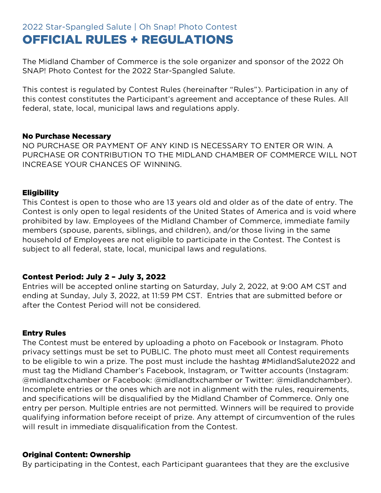# 2022 Star-Spangled Salute | Oh Snap! Photo Contest OFFICIAL RULES + REGULATIONS

The Midland Chamber of Commerce is the sole organizer and sponsor of the 2022 Oh SNAP! Photo Contest for the 2022 Star-Spangled Salute.

This contest is regulated by Contest Rules (hereinafter "Rules"). Participation in any of this contest constitutes the Participant's agreement and acceptance of these Rules. All federal, state, local, municipal laws and regulations apply.

#### No Purchase Necessary

NO PURCHASE OR PAYMENT OF ANY KIND IS NECESSARY TO ENTER OR WIN. A PURCHASE OR CONTRIBUTION TO THE MIDLAND CHAMBER OF COMMERCE WILL NOT INCREASE YOUR CHANCES OF WINNING.

#### **Eligibility**

This Contest is open to those who are 13 years old and older as of the date of entry. The Contest is only open to legal residents of the United States of America and is void where prohibited by law. Employees of the Midland Chamber of Commerce, immediate family members (spouse, parents, siblings, and children), and/or those living in the same household of Employees are not eligible to participate in the Contest. The Contest is subject to all federal, state, local, municipal laws and regulations.

# Contest Period: July 2 – July 3, 2022

Entries will be accepted online starting on Saturday, July 2, 2022, at 9:00 AM CST and ending at Sunday, July 3, 2022, at 11:59 PM CST. Entries that are submitted before or after the Contest Period will not be considered.

#### Entry Rules

The Contest must be entered by uploading a photo on Facebook or Instagram. Photo privacy settings must be set to PUBLIC. The photo must meet all Contest requirements to be eligible to win a prize. The post must include the hashtag #MidlandSalute2022 and must tag the Midland Chamber's Facebook, Instagram, or Twitter accounts (Instagram: @midlandtxchamber or Facebook: @midlandtxchamber or Twitter: @midlandchamber). Incomplete entries or the ones which are not in alignment with the rules, requirements, and specifications will be disqualified by the Midland Chamber of Commerce. Only one entry per person. Multiple entries are not permitted. Winners will be required to provide qualifying information before receipt of prize. Any attempt of circumvention of the rules will result in immediate disqualification from the Contest.

#### Original Content: Ownership

By participating in the Contest, each Participant guarantees that they are the exclusive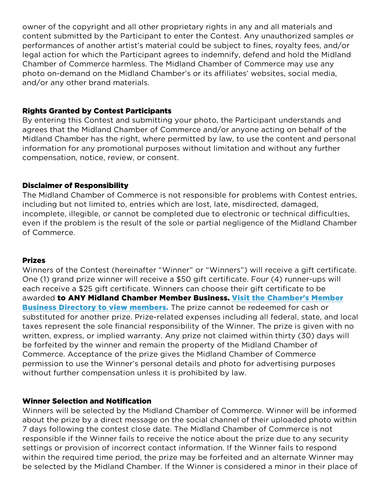owner of the copyright and all other proprietary rights in any and all materials and content submitted by the Participant to enter the Contest. Any unauthorized samples or performances of another artist's material could be subject to fines, royalty fees, and/or legal action for which the Participant agrees to indemnify, defend and hold the Midland Chamber of Commerce harmless. The Midland Chamber of Commerce may use any photo on-demand on the Midland Chamber's or its affiliates' websites, social media, and/or any other brand materials.

## Rights Granted by Contest Participants

By entering this Contest and submitting your photo, the Participant understands and agrees that the Midland Chamber of Commerce and/or anyone acting on behalf of the Midland Chamber has the right, where permitted by law, to use the content and personal information for any promotional purposes without limitation and without any further compensation, notice, review, or consent.

## Disclaimer of Responsibility

The Midland Chamber of Commerce is not responsible for problems with Contest entries, including but not limited to, entries which are lost, late, misdirected, damaged, incomplete, illegible, or cannot be completed due to electronic or technical difficulties, even if the problem is the result of the sole or partial negligence of the Midland Chamber of Commerce.

#### Prizes

Winners of the Contest (hereinafter "Winner" or "Winners") will receive a gift certificate. One (1) grand prize winner will receive a \$50 gift certificate. Four (4) runner-ups will each receive a \$25 gift certificate. Winners can choose their gift certificate to be awarded to ANY Midland Chamber Member Business. [Visit the Chamber's Member](http://bit.ly/302xuBp)  **[Business Directory to view members.](http://bit.ly/302xuBp)** The prize cannot be redeemed for cash or substituted for another prize. Prize-related expenses including all federal, state, and local taxes represent the sole financial responsibility of the Winner. The prize is given with no written, express, or implied warranty. Any prize not claimed within thirty (30) days will be forfeited by the winner and remain the property of the Midland Chamber of Commerce. Acceptance of the prize gives the Midland Chamber of Commerce permission to use the Winner's personal details and photo for advertising purposes without further compensation unless it is prohibited by law.

#### Winner Selection and Notification

Winners will be selected by the Midland Chamber of Commerce. Winner will be informed about the prize by a direct message on the social channel of their uploaded photo within 7 days following the contest close date. The Midland Chamber of Commerce is not responsible if the Winner fails to receive the notice about the prize due to any security settings or provision of incorrect contact information. If the Winner fails to respond within the required time period, the prize may be forfeited and an alternate Winner may be selected by the Midland Chamber. If the Winner is considered a minor in their place of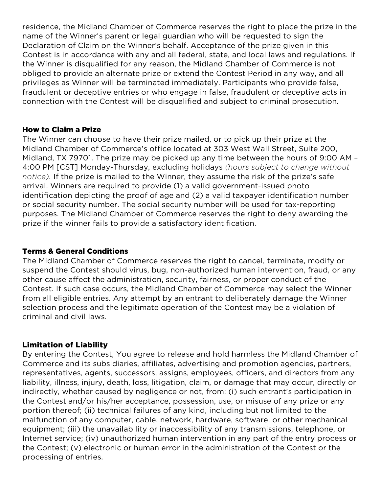residence, the Midland Chamber of Commerce reserves the right to place the prize in the name of the Winner's parent or legal guardian who will be requested to sign the Declaration of Claim on the Winner's behalf. Acceptance of the prize given in this Contest is in accordance with any and all federal, state, and local laws and regulations. If the Winner is disqualified for any reason, the Midland Chamber of Commerce is not obliged to provide an alternate prize or extend the Contest Period in any way, and all privileges as Winner will be terminated immediately. Participants who provide false, fraudulent or deceptive entries or who engage in false, fraudulent or deceptive acts in connection with the Contest will be disqualified and subject to criminal prosecution.

## How to Claim a Prize

The Winner can choose to have their prize mailed, or to pick up their prize at the Midland Chamber of Commerce's office located at 303 West Wall Street, Suite 200, Midland, TX 79701. The prize may be picked up any time between the hours of 9:00 AM – 4:00 PM [CST] Monday-Thursday, excluding holidays *(hours subject to change without notice).* If the prize is mailed to the Winner, they assume the risk of the prize's safe arrival. Winners are required to provide (1) a valid government-issued photo identification depicting the proof of age and (2) a valid taxpayer identification number or social security number. The social security number will be used for tax-reporting purposes. The Midland Chamber of Commerce reserves the right to deny awarding the prize if the winner fails to provide a satisfactory identification.

# Terms & General Conditions

The Midland Chamber of Commerce reserves the right to cancel, terminate, modify or suspend the Contest should virus, bug, non-authorized human intervention, fraud, or any other cause affect the administration, security, fairness, or proper conduct of the Contest. If such case occurs, the Midland Chamber of Commerce may select the Winner from all eligible entries. Any attempt by an entrant to deliberately damage the Winner selection process and the legitimate operation of the Contest may be a violation of criminal and civil laws.

#### Limitation of Liability

By entering the Contest, You agree to release and hold harmless the Midland Chamber of Commerce and its subsidiaries, affiliates, advertising and promotion agencies, partners, representatives, agents, successors, assigns, employees, officers, and directors from any liability, illness, injury, death, loss, litigation, claim, or damage that may occur, directly or indirectly, whether caused by negligence or not, from: (i) such entrant's participation in the Contest and/or his/her acceptance, possession, use, or misuse of any prize or any portion thereof; (ii) technical failures of any kind, including but not limited to the malfunction of any computer, cable, network, hardware, software, or other mechanical equipment; (iii) the unavailability or inaccessibility of any transmissions, telephone, or Internet service; (iv) unauthorized human intervention in any part of the entry process or the Contest; (v) electronic or human error in the administration of the Contest or the processing of entries.